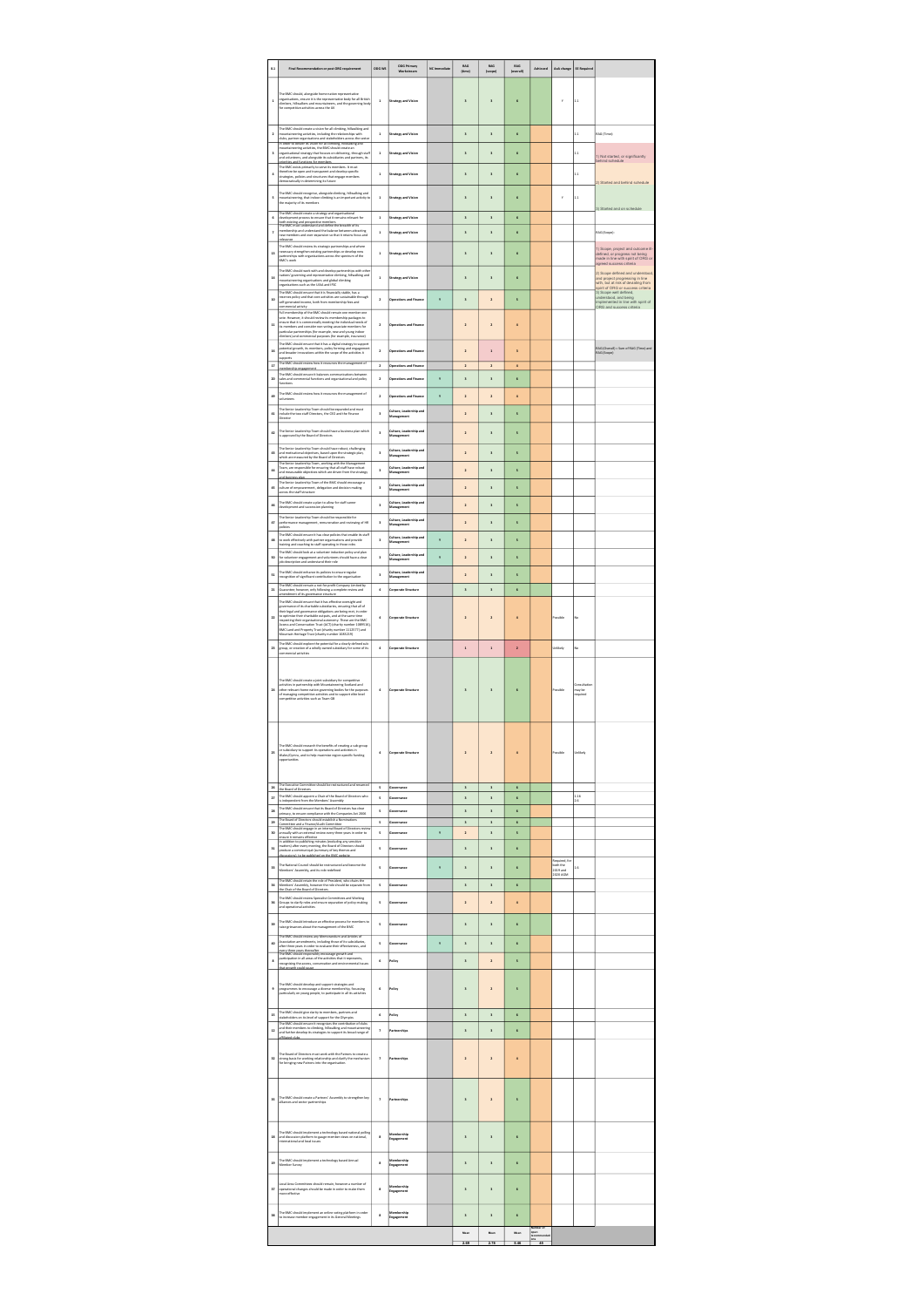| 0.1             | Final Recommendation or post ORG requirement                                                                                                                                                                                              | ODG WS                  | <b>ODG Primary</b>                    | <b>NC</b> Immediate | RAG                     | RAG                                    | RAG                     | Achieved                                                    | AoA change                       | <b>SE Required</b> |                                                                                                    |
|-----------------|-------------------------------------------------------------------------------------------------------------------------------------------------------------------------------------------------------------------------------------------|-------------------------|---------------------------------------|---------------------|-------------------------|----------------------------------------|-------------------------|-------------------------------------------------------------|----------------------------------|--------------------|----------------------------------------------------------------------------------------------------|
|                 |                                                                                                                                                                                                                                           |                         | Workstream                            |                     | (time)                  | (scope)                                | (overall)               |                                                             |                                  |                    |                                                                                                    |
| $\mathbf 1$     | The BMC should, alongside home nation representative<br>organisations, ensure it is the representative body for all British<br>climbers, hillwalkers and mountaineers, and the governing body<br>for competitive activities across the UK | $\mathbf 1$             | <b>Strategy and Vision</b>            |                     | 3                       | $\overline{\mathbf{3}}$                | 6                       |                                                             | Y                                | 1.1                |                                                                                                    |
| $\overline{2}$  | The BMC should create a vision for all climbing, hillwalking and<br>mountaineering activities, including the relationships with                                                                                                           | $\mathbf{1}$            | <b>Strategy and Vision</b>            |                     | $\overline{\mathbf{3}}$ | $\overline{\mathbf{3}}$                | 6                       |                                                             |                                  | 1.1                | RAG (Time):                                                                                        |
|                 | clubs, partner organisations and stakeholders across the sector<br>n order to deliver its vision for all climbing, hillwalking and<br>mountaineering activities, the BMC should create an                                                 |                         |                                       |                     |                         |                                        |                         |                                                             |                                  |                    |                                                                                                    |
| 3               | organisational strategy that focuses on delivering, through staff<br>and volunteers, and alongside its subsidiaries and partners, its<br>priorities and functions for member                                                              | $\mathbf 1$             | <b>Strategy and Vision</b>            |                     | 3                       | $\overline{\mathbf{3}}$                | 6                       |                                                             |                                  | 1.1                | 1) Not started, or significantly<br>behind schedule                                                |
| 4               | The BMC exists primarily to serve its members. It must<br>therefore be open and transparent and develop specific<br>strategies, policies and structures that engage members                                                               | $\mathbf 1$             | <b>Strategy and Vision</b>            |                     | 3                       | $\overline{\mathbf{3}}$                | 6                       |                                                             |                                  | 1.1                |                                                                                                    |
|                 | democratically in determining its future<br>The BMC should recognise, alongside climbing, hillwalking and                                                                                                                                 |                         |                                       |                     |                         |                                        |                         |                                                             |                                  |                    | 2) Started and behind schedule                                                                     |
| 5               | mountaineering, that indoor climbing is an important activity to<br>the majority of its members                                                                                                                                           | $\mathbf{1}$            | <b>Strategy and Vision</b>            |                     | $\overline{\mathbf{3}}$ | $\overline{\mathbf{3}}$                | 6                       |                                                             | Y                                | 1.1                |                                                                                                    |
| 6               | The BMC should create a strategy and organisational<br>development process to ensure that it remains relevant for                                                                                                                         | $\,$ 1                  | <b>Strategy and Vision</b>            |                     | $\overline{\mathbf{3}}$ | 3                                      | 6                       |                                                             |                                  |                    | 3) Started and on schedule                                                                         |
| $\overline{z}$  | both existing and prospective members<br>The BMC must understand and define the breadth of its<br>membership and understand the balance between attracting<br>new members and over-expansion so that it retains focus and                 | $\mathbf{1}$            | <b>Strategy and Vision</b>            |                     | $\overline{\mathbf{3}}$ | $\overline{\mathbf{3}}$                | 6                       |                                                             |                                  |                    | RAG (Scope):                                                                                       |
|                 | Heyance<br>The BMC should review its strategic partnerships and where<br>necessary strengthen existing partnerships or develop new                                                                                                        |                         |                                       |                     |                         |                                        |                         |                                                             |                                  |                    | 1) Scope, project and outcome ill-                                                                 |
| $13$            | partnerships with organisations across the spectrum of the<br><b>BMC's work</b>                                                                                                                                                           | $\,$ 1                  | <b>Strategy and Vision</b>            |                     | 3                       | $\overline{\mathbf{3}}$                | 6                       |                                                             |                                  |                    | defined, or progress not being<br>made in line with spirit of ORG or<br>agreed success criteria    |
| 14              | The BMC should work with and develop partnerships with other<br>nations' governing and representative climbing, hillwalking and<br>mountaineering organisations and global climbing                                                       | $\mathbf 1$             | <b>Strategy and Vision</b>            |                     | 3                       | $\overline{\mathbf{3}}$                | $\ddot{\mathbf{6}}$     |                                                             |                                  |                    | 2) Scope defined and understood,<br>and project progressing in line                                |
|                 | organisations such as the UIAA and IFSC<br>The BMC should ensure that it is financially stable, has a                                                                                                                                     |                         |                                       |                     |                         |                                        |                         |                                                             |                                  |                    | with, but at risk of deviating from<br>spirit of ORG or success criteria<br>3) Scope well defined, |
| 10              | reserves policy and that core activities are sustainable through<br>self-generated income, both from membership fees and<br>commercial activity                                                                                           | $\mathbf 2$             | <b>Operations and Finance</b>         | Y                   | 3                       | $\overline{\mathbf{c}}$                | 5                       |                                                             |                                  |                    | understood, and being<br>implemented in line with spirit of<br>ORG and success criteria            |
| $11$            | Full membership of the BMC should remain one member one<br>rote. However, it should review its membership packages to<br>ensure that it is commercially meeting the individual needs of                                                   | $\mathbf{2}$            | <b>Operations and Finance</b>         |                     | $\mathbf 2$             | $\overline{\mathbf{c}}$                |                         |                                                             |                                  |                    |                                                                                                    |
|                 | its members and consider non-voting associate members for<br>particular partnerships (for example, new and young indoor<br>climbers) and commercial purposes (for example, insurance)                                                     |                         |                                       |                     |                         |                                        | $\overline{\mathbf{a}}$ |                                                             |                                  |                    |                                                                                                    |
| 16              | The BMC should ensure that it has a digital strategy to support<br>potential growth, its members, policy forming and engagement<br>and broader innovations within the scope of the activities it                                          | $\mathbf{2}$            | <b>Operations and Finance</b>         |                     | $\overline{2}$          | $\mathbf{1}$                           | 3                       |                                                             |                                  |                    | RAG (Overall) = Sum of RAG (Time) and<br>RAG (Scope)                                               |
| 17              | supports<br>The BMC should review how it resources the management of<br>nembership engagement                                                                                                                                             | $\mathbf{2}$            | <b>Operations and Finance</b>         |                     | $\overline{\mathbf{c}}$ | $\mathbf{2}$                           | $\ddot{\phantom{a}}$    |                                                             |                                  |                    |                                                                                                    |
| 20              | The BMC should ensure it balances communications between<br>sales and commercial functions and organisational and policy                                                                                                                  | $\mathbf{2}$            | <b>Operations and Finance</b>         | Y                   | 3                       | $\overline{\mathbf{3}}$                | 6                       |                                                             |                                  |                    |                                                                                                    |
| 49              | <b>unctions</b><br>The BMC should review how it resources the management of                                                                                                                                                               | $\mathbf{2}$            | <b>Operations and Finance</b>         | Y                   | $\overline{2}$          | $\overline{2}$                         | $\ddot{a}$              |                                                             |                                  |                    |                                                                                                    |
|                 | volunteers<br>The Senior Leadership Team should be expanded and must                                                                                                                                                                      |                         | Culture, Leadership and               |                     |                         |                                        |                         |                                                             |                                  |                    |                                                                                                    |
| 41              | include the two staff Directors, the CEO and the Finance<br>Director                                                                                                                                                                      | $\overline{\mathbf{3}}$ | Management                            |                     | $\overline{\mathbf{c}}$ | 3                                      | 5                       |                                                             |                                  |                    |                                                                                                    |
| 42              | The Senior Leadership Team should have a business plan which<br>is approved by the Board of Directors                                                                                                                                     | $\overline{\mathbf{3}}$ | Culture, Leadership and<br>Management |                     | $\overline{\mathbf{c}}$ | $\overline{\mathbf{3}}$                | 5                       |                                                             |                                  |                    |                                                                                                    |
| 43              | The Senior Leadership Team should have robust, challenging<br>and motivational objectives, based upon the strategic plan,                                                                                                                 | 3                       | Culture, Leadership and<br>Management |                     | $\overline{2}$          | $\overline{\mathbf{3}}$                | 5                       |                                                             |                                  |                    |                                                                                                    |
|                 | which are measured by the Board of Directors<br>The Senior Leadership Team, working with the Management<br>leam, are responsible for ensuring that all staff have robust                                                                  |                         | Culture, Leadership and               |                     |                         |                                        |                         |                                                             |                                  |                    |                                                                                                    |
| 44              | and measurable objectives which are driven from the strategy<br>The Senior Leadership Team of the BMC should encourage a                                                                                                                  | 3                       | Management                            |                     | $\overline{\mathbf{c}}$ | $\overline{\mathbf{3}}$                | 5                       |                                                             |                                  |                    |                                                                                                    |
| 45              | culture of empowerment, delegation and decision making<br>scross the staff structure                                                                                                                                                      | $\overline{\mathbf{3}}$ | Culture, Leadership and<br>Management |                     | $\overline{2}$          | $\overline{\mathbf{3}}$                | 5                       |                                                             |                                  |                    |                                                                                                    |
| 46              | The RMC should create a plan to allow for staff career<br>development and succession planning                                                                                                                                             | 3                       | Culture, Leadership and<br>Management |                     | $\overline{\mathbf{c}}$ | $\overline{\mathbf{3}}$                | 5                       |                                                             |                                  |                    |                                                                                                    |
| 47              | The Senior Leadership Team should be responsible for<br>performance management, remuneration and reviewing of HR<br>policies                                                                                                              | $\overline{\mathbf{3}}$ | Culture, Leadership and<br>Management |                     | $\overline{\mathbf{c}}$ | $\overline{\mathbf{3}}$                | 5                       |                                                             |                                  |                    |                                                                                                    |
| 48              | The BMC should ensure it has clear policies that enable its staff<br>to work effectively with partner organisations and provide                                                                                                           | 3                       | Culture, Leadership and               | Y                   | $\overline{2}$          | 3                                      | 5                       |                                                             |                                  |                    |                                                                                                    |
|                 | training and coaching to staff operating in those roles<br>The BMC should look at a volunteer induction policy and plan                                                                                                                   |                         | Management<br>Culture, Leadership and |                     |                         |                                        |                         |                                                             |                                  |                    |                                                                                                    |
| 50              | for volunteer engagement and volunteers should have a clear<br>ob description and understand their role                                                                                                                                   | $\overline{\mathbf{3}}$ | Management                            | Y                   | $\overline{2}$          | $\overline{\mathbf{3}}$                | $\overline{\mathbf{5}}$ |                                                             |                                  |                    |                                                                                                    |
| 51              | The BMC should enhance its policies to ensure regular<br>recognition of significant contribution to the organisation<br>The BMC should remain a not-for-profit Company Limited by                                                         | 3                       | Culture, Leadership and<br>Management |                     | $\overline{2}$          | $\overline{\mathbf{3}}$                | 5                       |                                                             |                                  |                    |                                                                                                    |
| 21              | Guarantee; however, only following a complete review and<br>amendment of its governance structure                                                                                                                                         | $\ddot{\bf 4}$          | Corporate Structure                   |                     | $\overline{\mathbf{3}}$ | $\overline{\mathbf{3}}$                | 6                       |                                                             |                                  |                    |                                                                                                    |
|                 | The BMC should ensure that it has effective oversight and<br>governance of its charitable subsidiaries, ensuring that all of<br>their legal and governance obligations are being met, in order                                            |                         |                                       |                     |                         |                                        |                         |                                                             |                                  |                    |                                                                                                    |
| $\overline{22}$ | to optimise their charitable outputs, and at the same time<br>respecting their organisational autonomy. These are the BMC<br>Access and Conservation Trust (ACT) (charity number 1089516),                                                | 4                       | <b>Corporate Structure</b>            |                     | $\overline{2}$          | $\overline{2}$                         | $\ddot{a}$              |                                                             | Possible                         | No                 |                                                                                                    |
|                 | BMC Land and Property Trust (charity number 1112577) and<br>Mountain Heritage Trust (charity number 1083219)                                                                                                                              |                         |                                       |                     |                         |                                        |                         |                                                             |                                  |                    |                                                                                                    |
| 23              | The BMC should explore the potential for a clearly defined sub-<br>group, or creation of a wholly owned subsidiary for some of its<br>commercial activities                                                                               | 4                       | Corporate Structure                   |                     | $\mathbf{1}$            | $\mathbf{1}$                           | $\overline{2}$          |                                                             | Unlikely                         | No                 |                                                                                                    |
|                 |                                                                                                                                                                                                                                           |                         |                                       |                     |                         |                                        |                         |                                                             |                                  |                    |                                                                                                    |
|                 | The BMC should create a joint subsidiary for competitive<br>activities in partnership with Mountaineering Scotland and                                                                                                                    |                         |                                       |                     |                         |                                        |                         |                                                             |                                  | Consultation       |                                                                                                    |
| 24              | other relevant home nation governing bodies for the purposes<br>of managing competitive activities and to support elite level<br>competitive activities such as Team GB                                                                   | $\ddot{\bf 4}$          | Corporate Structure                   |                     | 3                       | $\overline{\mathbf{3}}$                | 6                       |                                                             | Possible                         | may be<br>required |                                                                                                    |
|                 |                                                                                                                                                                                                                                           |                         |                                       |                     |                         |                                        |                         |                                                             |                                  |                    |                                                                                                    |
|                 |                                                                                                                                                                                                                                           |                         |                                       |                     |                         |                                        |                         |                                                             |                                  |                    |                                                                                                    |
|                 | The BMC should research the benefits of creating a sub-group                                                                                                                                                                              |                         |                                       |                     |                         |                                        |                         |                                                             |                                  |                    |                                                                                                    |
| 25              | or subsidiary to support its operations and activities in<br>Wales/Cymru, and to help maximise region-specific funding<br>opportunities                                                                                                   | $\ddot{\bf a}$          | Corporate Structure                   |                     | $\mathbf 2$             | $\overline{\mathbf{c}}$                | $\overline{a}$          |                                                             | Possible                         | Unlikely           |                                                                                                    |
|                 |                                                                                                                                                                                                                                           |                         |                                       |                     |                         |                                        |                         |                                                             |                                  |                    |                                                                                                    |
| 26              | The Executive Committee should be restructured and renamed<br>the Board of Directors                                                                                                                                                      | 5                       | Governance                            |                     | $\overline{\mathbf{3}}$ | $\overline{\mathbf{3}}$                | 6                       |                                                             |                                  |                    |                                                                                                    |
| 27              | The BMC should appoint a Chair of the Board of Directors who<br>is independent from the Members' Assembly                                                                                                                                 | 5                       | Sovernance                            |                     | 3                       | $\overline{\mathbf{3}}$                | 6                       |                                                             |                                  | 1.16<br>2.6        |                                                                                                    |
| 28              | The BMC should ensure that its Board of Directors has clear<br>primacy, to ensure compliance with the Companies Act 2006                                                                                                                  | 5                       | Governance                            |                     | $\overline{\mathbf{3}}$ | $\overline{\mathbf{3}}$                | $\ddot{\mathbf{6}}$     |                                                             |                                  |                    |                                                                                                    |
| 29<br>30        | The Board of Directors should establish a Nominations<br>Committee and a Finance/Audit Committee<br>The BMC should engage in an internal Board of Directors review<br>annually with an external review every three years in order to      | 5<br>5                  | Governance<br>Sovernance              | Y                   | 3<br>$\overline{2}$     | $\mathbf 3$<br>$\overline{\mathbf{3}}$ | 6<br>5                  |                                                             |                                  |                    |                                                                                                    |
| 31              | ensure it remains effective<br>In addition to publishing minutes (excluding any sensitive<br>matters) after every meeting, the Board of Directors should                                                                                  | 5                       | Governance                            |                     | $\overline{\mathbf{3}}$ | $\overline{\mathbf{3}}$                | 6                       |                                                             |                                  |                    |                                                                                                    |
|                 | produce a communiqué (summary of key themes and<br>discussions), to be published on the BMC website                                                                                                                                       |                         |                                       |                     |                         |                                        |                         |                                                             | Required, for                    |                    |                                                                                                    |
| 33              | The National Council should be restructured and become the<br>Members' Assembly, and its role redefined                                                                                                                                   | 5                       | Governance                            | Ÿ                   | $\overline{\mathbf{3}}$ | $\overline{\mathbf{3}}$                | $\boldsymbol{6}$        |                                                             | both the<br>2019 and<br>2020 AGM | 1.6                |                                                                                                    |
| 34              | The BMC should retain the role of President, who chairs the<br>Members' Assembly, however the role should be separate from<br>the Chair of the Board of Directors                                                                         | 5                       | Governance                            |                     | 3                       | $\overline{\mathbf{3}}$                | 6                       |                                                             |                                  |                    |                                                                                                    |
| 36              | The BMC should review Specialist Committees and Working<br>Groups to clarify roles and ensure separation of policy-making<br>and operational activities                                                                                   | 5                       | Governance                            |                     | $\mathbf 2$             | $\overline{\mathbf{c}}$                | 4                       |                                                             |                                  |                    |                                                                                                    |
|                 |                                                                                                                                                                                                                                           |                         |                                       |                     |                         |                                        |                         |                                                             |                                  |                    |                                                                                                    |
| 39              | The BMC should introduce an effective process for members to<br>raise grievances about the management of the BMC                                                                                                                          | 5                       | Governance                            |                     | $\overline{\mathbf{3}}$ | $\overline{\mathbf{3}}$                | 6                       |                                                             |                                  |                    |                                                                                                    |
| 40              | The BMC should review any Memorandum and Articles of<br>Association amendments, including those of its subsidiaries,<br>after three years in order to evaluate their effectiveness, and                                                   | 5                       | Governance                            | Y                   | 3                       | $\overline{\mathbf{3}}$                | 6                       |                                                             |                                  |                    |                                                                                                    |
| 8               | every three years thereafter<br>The BMC should responsibly encourage growth and<br>participation in all areas of the activities that it represents,<br>recognising the access, conservation and environmental issues                      | 6                       | Policy                                |                     | 3                       | $\overline{2}$                         | 5                       |                                                             |                                  |                    |                                                                                                    |
|                 | that erowth could cause                                                                                                                                                                                                                   |                         |                                       |                     |                         |                                        |                         |                                                             |                                  |                    |                                                                                                    |
| 9               | The BMC should develop and support strategies and<br>programmes to encourage a diverse membership, focussing<br>particularly on young people, to participate in all its activities                                                        | 6                       | Policy                                |                     | 3                       | $\overline{2}$                         | 5                       |                                                             |                                  |                    |                                                                                                    |
|                 |                                                                                                                                                                                                                                           |                         |                                       |                     |                         |                                        |                         |                                                             |                                  |                    |                                                                                                    |
| 15              | The BMC should give clarity to members, partners and<br>stakeholders on its level of support for the Olympics<br>The BMC should ensure it recognises the contribution of clubs                                                            | 6                       | Policy                                |                     | $\overline{\mathbf{3}}$ | $\overline{\mathbf{3}}$                | 6                       |                                                             |                                  |                    |                                                                                                    |
| $12\,$          | and their members to climbing, hillwalking and mountaineering<br>and further develop its strategies to support its broad range of<br>affiliated clubs                                                                                     | $\overline{z}$          | Partnerships                          |                     | 3                       | $\overline{\mathbf{3}}$                | $\ddot{\mathbf{6}}$     |                                                             |                                  |                    |                                                                                                    |
|                 |                                                                                                                                                                                                                                           |                         |                                       |                     |                         |                                        |                         |                                                             |                                  |                    |                                                                                                    |
| 32              | The Board of Directors must work with the Patrons to create a<br>strong basis for working relationship and clarify the mechanism<br>for bringing new Patrons into the organisation                                                        | $\overline{7}$          | Partnerships                          |                     | $\overline{\mathbf{c}}$ | $\mathbf{2}$                           | $\ddot{a}$              |                                                             |                                  |                    |                                                                                                    |
|                 |                                                                                                                                                                                                                                           |                         |                                       |                     |                         |                                        |                         |                                                             |                                  |                    |                                                                                                    |
|                 |                                                                                                                                                                                                                                           |                         |                                       |                     |                         |                                        |                         |                                                             |                                  |                    |                                                                                                    |
| 35              | The BMC should create a Partners' Assembly to strengthen key<br>alliances and sector partnerships                                                                                                                                         | $\overline{ }$          | Partnerships                          |                     | 3                       | $\overline{2}$                         | 5                       |                                                             |                                  |                    |                                                                                                    |
|                 |                                                                                                                                                                                                                                           |                         |                                       |                     |                         |                                        |                         |                                                             |                                  |                    |                                                                                                    |
| 18              | The BMC should implement a technology based national polling<br>and discussion platform to gauge member views on national,                                                                                                                | 8                       | Membership<br>Engagement              |                     | $\overline{\mathbf{3}}$ | $\overline{\mathbf{3}}$                | 6                       |                                                             |                                  |                    |                                                                                                    |
|                 | nternational and local issues                                                                                                                                                                                                             |                         |                                       |                     |                         |                                        |                         |                                                             |                                  |                    |                                                                                                    |
| 19              | The BMC should implement a technology based Annual<br>Member Survey                                                                                                                                                                       | 8                       | Membership<br>Engagement              |                     | 3                       | $\overline{\mathbf{3}}$                | 6                       |                                                             |                                  |                    |                                                                                                    |
|                 |                                                                                                                                                                                                                                           |                         |                                       |                     |                         |                                        |                         |                                                             |                                  |                    |                                                                                                    |
| 37              | Local Area Committees should remain, however a number of<br>operational changes should be made in order to make them<br>nore effective                                                                                                    | 8                       | Membership<br>Engagement              |                     | $\overline{\mathbf{3}}$ | $\overline{\mathbf{3}}$                | 6                       |                                                             |                                  |                    |                                                                                                    |
|                 |                                                                                                                                                                                                                                           |                         | Membership                            |                     |                         |                                        |                         |                                                             |                                  |                    |                                                                                                    |
| 38              | The BMC should implement an online voting platform in order<br>to increase member engagement in its General Meetings                                                                                                                      | 8                       | Engagement                            |                     | 3                       | $\overline{\mathbf{3}}$                | 6                       |                                                             |                                  |                    |                                                                                                    |
|                 |                                                                                                                                                                                                                                           |                         |                                       |                     | Mean<br>2.69            | Mean<br>2.78                           | Mean<br>5.46            | lumber of<br>ypen<br>ecomn<br>ndat<br>ns<br>$\overline{4!}$ |                                  |                    |                                                                                                    |